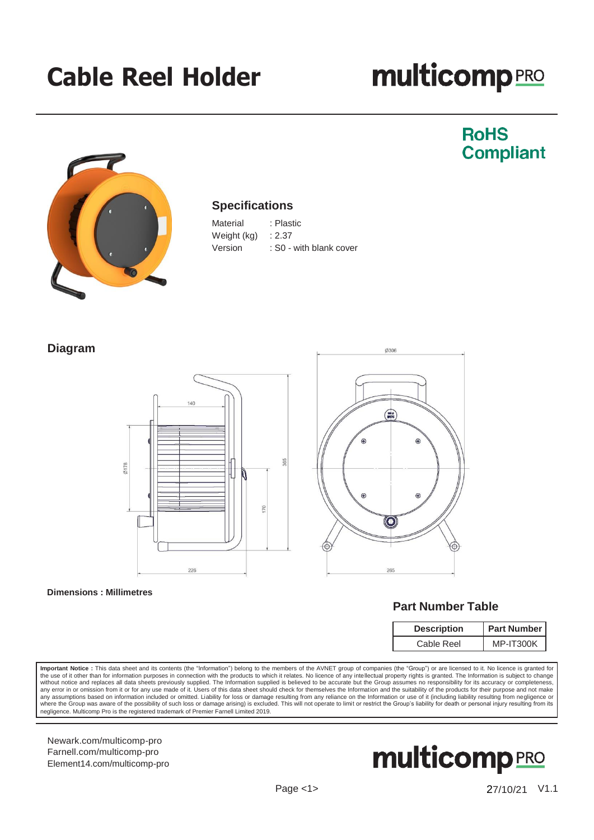## **Cable Reel Holder**

# **multicomp**<sub>PRO</sub>

### **RoHS Compliant**



#### **Specifications**

| Material    | : Plastic               |
|-------------|-------------------------|
| Weight (kg) | : 2.37                  |
| Version     | : S0 - with blank cover |

#### **Diagram**







#### **Part Number Table**

| <b>Description</b> | <b>Part Number</b> |  |
|--------------------|--------------------|--|
| Cable Reel         | MP-IT300K          |  |

Important Notice : This data sheet and its contents (the "Information") belong to the members of the AVNET group of companies (the "Group") or are licensed to it. No licence is granted for the use of it other than for information purposes in connection with the products to which it relates. No licence of any intellectual property rights is granted. The Information is subject to change<br>without notice and repl any assumptions based on information included or omitted. Liability for loss or damage resulting from any reliance on the Information or use of it (including liability resulting from negligence or<br>where the Group was aware negligence. Multicomp Pro is the registered trademark of Premier Farnell Limited 2019.

[Newark.com/multicomp-](https://www.newark.com/multicomp-pro)pro [Farnell.com/multicomp-](https://www.farnell.com/multicomp-pro)pro [Element14.com/multicomp-pro](https://element14.com/multicomp-pro)